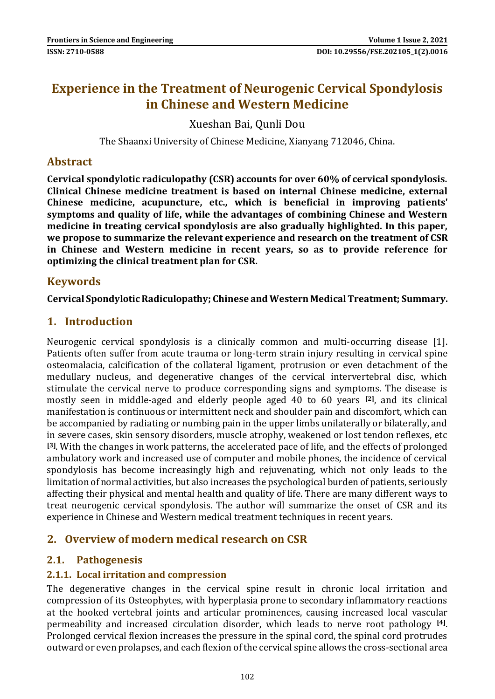# **Experience in the Treatment of Neurogenic Cervical Spondylosis in Chinese and Western Medicine**

Xueshan Bai, Qunli Dou

The Shaanxi University of Chinese Medicine, Xianyang 712046, China.

#### **Abstract**

**Cervical spondylotic radiculopathy (CSR) accounts for over 60% of cervical spondylosis. Clinical Chinese medicine treatment is based on internal Chinese medicine, external Chinese medicine, acupuncture, etc., which is beneficial in improving patients' symptoms and quality of life, while the advantages of combining Chinese and Western medicine in treating cervical spondylosis are also gradually highlighted. In this paper, we propose to summarize the relevant experience and research on the treatment of CSR in Chinese and Western medicine in recent years, so as to provide reference for optimizing the clinical treatment plan for CSR.**

## **Keywords**

**Cervical Spondylotic Radiculopathy; Chinese and Western Medical Treatment; Summary.**

## **1. Introduction**

Neurogenic cervical spondylosis is a clinically common and multi-occurring disease [1]. Patients often suffer from acute trauma or long-term strain injury resulting in cervical spine osteomalacia, calcification of the collateral ligament, protrusion or even detachment of the medullary nucleus, and degenerative changes of the cervical intervertebral disc, which stimulate the cervical nerve to produce corresponding signs and symptoms. The disease is mostly seen in middle-aged and elderly people aged 40 to 60 years **[2]**, and its clinical manifestation is continuous or intermittent neck and shoulder pain and discomfort, which can be accompanied by radiating or numbing pain in the upper limbs unilaterally or bilaterally, and in severe cases, skin sensory disorders, muscle atrophy, weakened or lost tendon reflexes, etc **[3]**. With the changes in work patterns, the accelerated pace of life, and the effects of prolonged ambulatory work and increased use of computer and mobile phones, the incidence of cervical spondylosis has become increasingly high and rejuvenating, which not only leads to the limitation of normal activities, but also increases the psychological burden of patients, seriously affecting their physical and mental health and quality of life. There are many different ways to treat neurogenic cervical spondylosis. The author will summarize the onset of CSR and its experience in Chinese and Western medical treatment techniques in recent years.

## **2. Overview of modern medical research on CSR**

#### **2.1. Pathogenesis**

#### **2.1.1. Local irritation and compression**

The degenerative changes in the cervical spine result in chronic local irritation and compression of its Osteophytes, with hyperplasia prone to secondary inflammatory reactions at the hooked vertebral joints and articular prominences, causing increased local vascular permeability and increased circulation disorder, which leads to nerve root pathology **[4]** . Prolonged cervical flexion increases the pressure in the spinal cord, the spinal cord protrudes outward or even prolapses, and each flexion of the cervical spine allows the cross-sectional area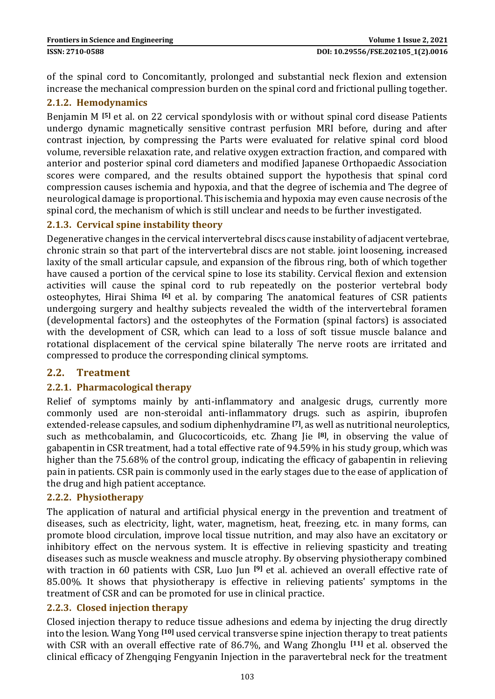of the spinal cord to Concomitantly, prolonged and substantial neck flexion and extension increase the mechanical compression burden on the spinal cord and frictional pulling together.

#### **2.1.2. Hemodynamics**

Benjamin M **[5]** et al. on 22 cervical spondylosis with or without spinal cord disease Patients undergo dynamic magnetically sensitive contrast perfusion MRI before, during and after contrast injection, by compressing the Parts were evaluated for relative spinal cord blood volume, reversible relaxation rate, and relative oxygen extraction fraction, and compared with anterior and posterior spinal cord diameters and modified Japanese Orthopaedic Association scores were compared, and the results obtained support the hypothesis that spinal cord compression causes ischemia and hypoxia, and that the degree of ischemia and The degree of neurological damage is proportional. This ischemia and hypoxia may even cause necrosis of the spinal cord, the mechanism of which is still unclear and needs to be further investigated.

#### **2.1.3. Cervical spine instability theory**

Degenerative changes in the cervical intervertebral discs cause instability of adjacent vertebrae, chronic strain so that part of the intervertebral discs are not stable. joint loosening, increased laxity of the small articular capsule, and expansion of the fibrous ring, both of which together have caused a portion of the cervical spine to lose its stability. Cervical flexion and extension activities will cause the spinal cord to rub repeatedly on the posterior vertebral body osteophytes, Hirai Shima **[6]** et al. by comparing The anatomical features of CSR patients undergoing surgery and healthy subjects revealed the width of the intervertebral foramen (developmental factors) and the osteophytes of the Formation (spinal factors) is associated with the development of CSR, which can lead to a loss of soft tissue muscle balance and rotational displacement of the cervical spine bilaterally The nerve roots are irritated and compressed to produce the corresponding clinical symptoms.

#### **2.2. Treatment**

#### **2.2.1. Pharmacological therapy**

Relief of symptoms mainly by anti-inflammatory and analgesic drugs, currently more commonly used are non-steroidal anti-inflammatory drugs. such as aspirin, ibuprofen extended-release capsules, and sodium diphenhydramine **[7]**, as well as nutritional neuroleptics, such as methcobalamin, and Glucocorticoids, etc. Zhang Jie <sup>[8]</sup>, in observing the value of gabapentin in CSR treatment, had a total effective rate of 94.59% in his study group, which was higher than the 75.68% of the control group, indicating the efficacy of gabapentin in relieving pain in patients. CSR pain is commonly used in the early stages due to the ease of application of the drug and high patient acceptance.

#### **2.2.2. Physiotherapy**

The application of natural and artificial physical energy in the prevention and treatment of diseases, such as electricity, light, water, magnetism, heat, freezing, etc. in many forms, can promote blood circulation, improve local tissue nutrition, and may also have an excitatory or inhibitory effect on the nervous system. It is effective in relieving spasticity and treating diseases such as muscle weakness and muscle atrophy. By observing physiotherapy combined with traction in 60 patients with CSR, Luo Jun **[9]** et al. achieved an overall effective rate of 85.00%. It shows that physiotherapy is effective in relieving patients' symptoms in the treatment of CSR and can be promoted for use in clinical practice.

#### **2.2.3. Closed injection therapy**

Closed injection therapy to reduce tissue adhesions and edema by injecting the drug directly into the lesion. Wang Yong **[10]** used cervical transverse spine injection therapy to treat patients with CSR with an overall effective rate of 86.7%, and Wang Zhonglu **[11]** et al. observed the clinical efficacy of Zhengqing Fengyanin Injection in the paravertebral neck for the treatment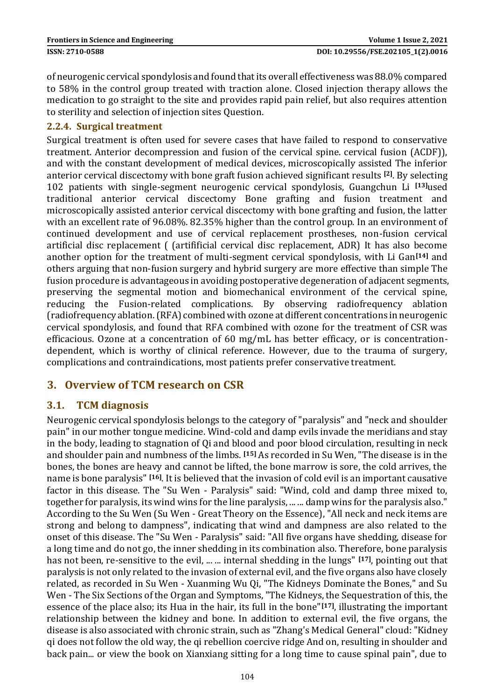of neurogenic cervical spondylosis and found that its overall effectiveness was 88.0% compared to 58% in the control group treated with traction alone. Closed injection therapy allows the medication to go straight to the site and provides rapid pain relief, but also requires attention to sterility and selection of injection sites Question.

#### **2.2.4. Surgical treatment**

Surgical treatment is often used for severe cases that have failed to respond to conservative treatment. Anterior decompression and fusion of the cervical spine. cervical fusion (ACDF)), and with the constant development of medical devices, microscopically assisted The inferior anterior cervical discectomy with bone graft fusion achieved significant results **[2]**. By selecting 102 patients with single-segment neurogenic cervical spondylosis, Guangchun Li **[13]**used traditional anterior cervical discectomy Bone grafting and fusion treatment and microscopically assisted anterior cervical discectomy with bone grafting and fusion, the latter with an excellent rate of 96.08%. 82.35% higher than the control group. In an environment of continued development and use of cervical replacement prostheses, non-fusion cervical artificial disc replacement ( (artifificial cervical disc replacement, ADR) It has also become another option for the treatment of multi-segment cervical spondylosis, with Li Gan**[14]** and others arguing that non-fusion surgery and hybrid surgery are more effective than simple The fusion procedure is advantageous in avoiding postoperative degeneration of adjacent segments, preserving the segmental motion and biomechanical environment of the cervical spine, reducing the Fusion-related complications. By observing radiofrequency ablation (radiofrequency ablation. (RFA) combined with ozone at different concentrations in neurogenic cervical spondylosis, and found that RFA combined with ozone for the treatment of CSR was efficacious. Ozone at a concentration of 60 mg/mL has better efficacy, or is concentrationdependent, which is worthy of clinical reference. However, due to the trauma of surgery, complications and contraindications, most patients prefer conservative treatment.

## **3. Overview of TCM research on CSR**

#### **3.1. TCM diagnosis**

Neurogenic cervical spondylosis belongs to the category of "paralysis" and "neck and shoulder pain" in our mother tongue medicine. Wind-cold and damp evils invade the meridians and stay in the body, leading to stagnation of Qi and blood and poor blood circulation, resulting in neck and shoulder pain and numbness of the limbs. **[15]** As recorded in Su Wen, "The disease is in the bones, the bones are heavy and cannot be lifted, the bone marrow is sore, the cold arrives, the name is bone paralysis" **[16]**. It is believed that the invasion of cold evil is an important causative factor in this disease. The "Su Wen - Paralysis" said: "Wind, cold and damp three mixed to, together for paralysis, its wind wins for the line paralysis, ... ... damp wins for the paralysis also." According to the Su Wen (Su Wen - Great Theory on the Essence), "All neck and neck items are strong and belong to dampness", indicating that wind and dampness are also related to the onset of this disease. The "Su Wen - Paralysis" said: "All five organs have shedding, disease for a long time and do not go, the inner shedding in its combination also. Therefore, bone paralysis has not been, re-sensitive to the evil, ... ... internal shedding in the lungs" **[17]**, pointing out that paralysis is not only related to the invasion of external evil, and the five organs also have closely related, as recorded in Su Wen - Xuanming Wu Qi, "The Kidneys Dominate the Bones," and Su Wen - The Six Sections of the Organ and Symptoms, "The Kidneys, the Sequestration of this, the essence of the place also; its Hua in the hair, its full in the bone"**[17]**, illustrating the important relationship between the kidney and bone. In addition to external evil, the five organs, the disease is also associated with chronic strain, such as "Zhang's Medical General" cloud: "Kidney qi does not follow the old way, the qi rebellion coercive ridge And on, resulting in shoulder and back pain... or view the book on Xianxiang sitting for a long time to cause spinal pain", due to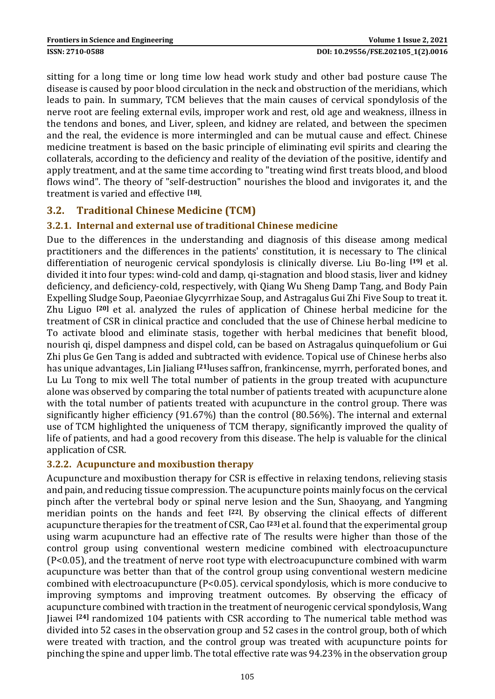sitting for a long time or long time low head work study and other bad posture cause The disease is caused by poor blood circulation in the neck and obstruction of the meridians, which leads to pain. In summary, TCM believes that the main causes of cervical spondylosis of the nerve root are feeling external evils, improper work and rest, old age and weakness, illness in the tendons and bones, and Liver, spleen, and kidney are related, and between the specimen and the real, the evidence is more intermingled and can be mutual cause and effect. Chinese medicine treatment is based on the basic principle of eliminating evil spirits and clearing the collaterals, according to the deficiency and reality of the deviation of the positive, identify and apply treatment, and at the same time according to "treating wind first treats blood, and blood flows wind". The theory of "self-destruction" nourishes the blood and invigorates it, and the treatment is varied and effective **[18]** .

## **3.2. Traditional Chinese Medicine (TCM)**

#### **3.2.1. Internal and external use of traditional Chinese medicine**

Due to the differences in the understanding and diagnosis of this disease among medical practitioners and the differences in the patients' constitution, it is necessary to The clinical differentiation of neurogenic cervical spondylosis is clinically diverse. Liu Bo-ling **[19]** et al. divided it into four types: wind-cold and damp, qi-stagnation and blood stasis, liver and kidney deficiency, and deficiency-cold, respectively, with Qiang Wu Sheng Damp Tang, and Body Pain Expelling Sludge Soup, Paeoniae Glycyrrhizae Soup, and Astragalus Gui Zhi Five Soup to treat it. Zhu Liguo **[20]** et al. analyzed the rules of application of Chinese herbal medicine for the treatment of CSR in clinical practice and concluded that the use of Chinese herbal medicine to To activate blood and eliminate stasis, together with herbal medicines that benefit blood, nourish qi, dispel dampness and dispel cold, can be based on Astragalus quinquefolium or Gui Zhi plus Ge Gen Tang is added and subtracted with evidence. Topical use of Chinese herbs also has unique advantages, Lin Jialiang **[21]**uses saffron, frankincense, myrrh, perforated bones, and Lu Lu Tong to mix well The total number of patients in the group treated with acupuncture alone was observed by comparing the total number of patients treated with acupuncture alone with the total number of patients treated with acupuncture in the control group. There was significantly higher efficiency (91.67%) than the control (80.56%). The internal and external use of TCM highlighted the uniqueness of TCM therapy, significantly improved the quality of life of patients, and had a good recovery from this disease. The help is valuable for the clinical application of CSR.

#### **3.2.2. Acupuncture and moxibustion therapy**

Acupuncture and moxibustion therapy for CSR is effective in relaxing tendons, relieving stasis and pain, and reducing tissue compression. The acupuncture points mainly focus on the cervical pinch after the vertebral body or spinal nerve lesion and the Sun, Shaoyang, and Yangming meridian points on the hands and feet **[22]**. By observing the clinical effects of different acupuncture therapies for the treatment of CSR, Cao **[23]** et al. found that the experimental group using warm acupuncture had an effective rate of The results were higher than those of the control group using conventional western medicine combined with electroacupuncture (P<0.05), and the treatment of nerve root type with electroacupuncture combined with warm acupuncture was better than that of the control group using conventional western medicine combined with electroacupuncture (P<0.05). cervical spondylosis, which is more conducive to improving symptoms and improving treatment outcomes. By observing the efficacy of acupuncture combined with traction in the treatment of neurogenic cervical spondylosis, Wang Jiawei **[24]** randomized 104 patients with CSR according to The numerical table method was divided into 52 cases in the observation group and 52 cases in the control group, both of which were treated with traction, and the control group was treated with acupuncture points for pinching the spine and upper limb. The total effective rate was 94.23% in the observation group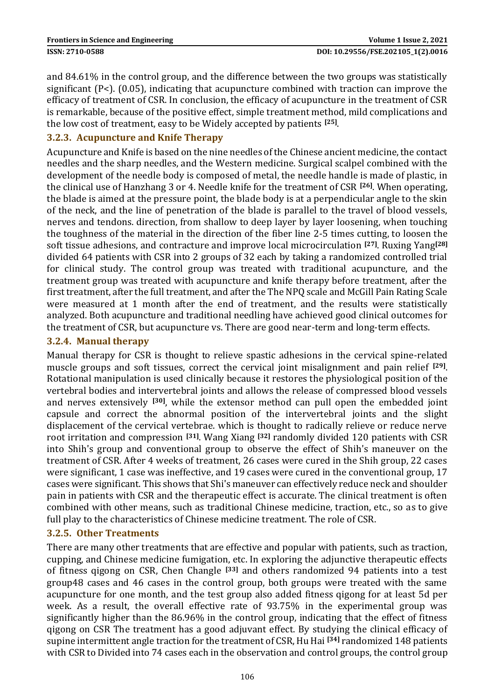and 84.61% in the control group, and the difference between the two groups was statistically significant (P<). (0.05), indicating that acupuncture combined with traction can improve the efficacy of treatment of CSR. In conclusion, the efficacy of acupuncture in the treatment of CSR is remarkable, because of the positive effect, simple treatment method, mild complications and the low cost of treatment, easy to be Widely accepted by patients **[25]** .

#### **3.2.3. Acupuncture and Knife Therapy**

Acupuncture and Knife is based on the nine needles of the Chinese ancient medicine, the contact needles and the sharp needles, and the Western medicine. Surgical scalpel combined with the development of the needle body is composed of metal, the needle handle is made of plastic, in the clinical use of Hanzhang 3 or 4. Needle knife for the treatment of CSR **[26]**. When operating, the blade is aimed at the pressure point, the blade body is at a perpendicular angle to the skin of the neck, and the line of penetration of the blade is parallel to the travel of blood vessels, nerves and tendons. direction, from shallow to deep layer by layer loosening, when touching the toughness of the material in the direction of the fiber line 2-5 times cutting, to loosen the soft tissue adhesions, and contracture and improve local microcirculation **[27]**. Ruxing Yang**[28]** divided 64 patients with CSR into 2 groups of 32 each by taking a randomized controlled trial for clinical study. The control group was treated with traditional acupuncture, and the treatment group was treated with acupuncture and knife therapy before treatment, after the first treatment, after the full treatment, and after the The NPQ scale and McGill Pain Rating Scale were measured at 1 month after the end of treatment, and the results were statistically analyzed. Both acupuncture and traditional needling have achieved good clinical outcomes for the treatment of CSR, but acupuncture vs. There are good near-term and long-term effects.

#### **3.2.4. Manual therapy**

Manual therapy for CSR is thought to relieve spastic adhesions in the cervical spine-related muscle groups and soft tissues, correct the cervical joint misalignment and pain relief **[29]** . Rotational manipulation is used clinically because it restores the physiological position of the vertebral bodies and intervertebral joints and allows the release of compressed blood vessels and nerves extensively **[30]**, while the extensor method can pull open the embedded joint capsule and correct the abnormal position of the intervertebral joints and the slight displacement of the cervical vertebrae. which is thought to radically relieve or reduce nerve root irritation and compression **[31]**. Wang Xiang **[32]** randomly divided 120 patients with CSR into Shih's group and conventional group to observe the effect of Shih's maneuver on the treatment of CSR. After 4 weeks of treatment, 26 cases were cured in the Shih group, 22 cases were significant, 1 case was ineffective, and 19 cases were cured in the conventional group, 17 cases were significant. This shows that Shi's maneuver can effectively reduce neck and shoulder pain in patients with CSR and the therapeutic effect is accurate. The clinical treatment is often combined with other means, such as traditional Chinese medicine, traction, etc., so as to give full play to the characteristics of Chinese medicine treatment. The role of CSR.

#### **3.2.5. Other Treatments**

There are many other treatments that are effective and popular with patients, such as traction, cupping, and Chinese medicine fumigation, etc. In exploring the adjunctive therapeutic effects of fitness qigong on CSR, Chen Changle **[33]** and others randomized 94 patients into a test group48 cases and 46 cases in the control group, both groups were treated with the same acupuncture for one month, and the test group also added fitness qigong for at least 5d per week. As a result, the overall effective rate of 93.75% in the experimental group was significantly higher than the 86.96% in the control group, indicating that the effect of fitness qigong on CSR The treatment has a good adjuvant effect. By studying the clinical efficacy of supine intermittent angle traction for the treatment of CSR, Hu Hai **[34]** randomized 148 patients with CSR to Divided into 74 cases each in the observation and control groups, the control group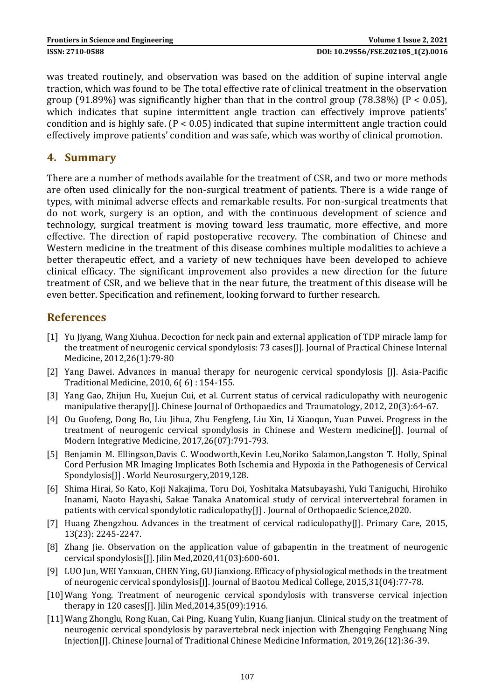was treated routinely, and observation was based on the addition of supine interval angle traction, which was found to be The total effective rate of clinical treatment in the observation group (91.89%) was significantly higher than that in the control group (78.38%) (P < 0.05), which indicates that supine intermittent angle traction can effectively improve patients' condition and is highly safe.  $(P < 0.05)$  indicated that supine intermittent angle traction could effectively improve patients' condition and was safe, which was worthy of clinical promotion.

## **4. Summary**

There are a number of methods available for the treatment of CSR, and two or more methods are often used clinically for the non-surgical treatment of patients. There is a wide range of types, with minimal adverse effects and remarkable results. For non-surgical treatments that do not work, surgery is an option, and with the continuous development of science and technology, surgical treatment is moving toward less traumatic, more effective, and more effective. The direction of rapid postoperative recovery. The combination of Chinese and Western medicine in the treatment of this disease combines multiple modalities to achieve a better therapeutic effect, and a variety of new techniques have been developed to achieve clinical efficacy. The significant improvement also provides a new direction for the future treatment of CSR, and we believe that in the near future, the treatment of this disease will be even better. Specification and refinement, looking forward to further research.

## **References**

- [1] Yu Jiyang, Wang Xiuhua. Decoction for neck pain and external application of TDP miracle lamp for the treatment of neurogenic cervical spondylosis: 73 cases[J]. Journal of Practical Chinese Internal Medicine, 2012,26(1):79-80
- [2] Yang Dawei. Advances in manual therapy for neurogenic cervical spondylosis [J]. Asia-Pacific Traditional Medicine, 2010, 6( 6) : 154-155.
- [3] Yang Gao, Zhijun Hu, Xuejun Cui, et al. Current status of cervical radiculopathy with neurogenic manipulative therapy[J]. Chinese Journal of Orthopaedics and Traumatology, 2012, 20(3):64-67.
- [4] Ou Guofeng, Dong Bo, Liu Jihua, Zhu Fengfeng, Liu Xin, Li Xiaoqun, Yuan Puwei. Progress in the treatment of neurogenic cervical spondylosis in Chinese and Western medicine[J]. Journal of Modern Integrative Medicine, 2017,26(07):791-793.
- [5] Benjamin M. Ellingson,Davis C. Woodworth,Kevin Leu,Noriko Salamon,Langston T. Holly, Spinal Cord Perfusion MR Imaging Implicates Both Ischemia and Hypoxia in the Pathogenesis of Cervical Spondylosis[J] . World Neurosurgery,2019,128.
- [6] Shima Hirai, So Kato, Koji Nakajima, Toru Doi, Yoshitaka Matsubayashi, Yuki Taniguchi, Hirohiko Inanami, Naoto Hayashi, Sakae Tanaka Anatomical study of cervical intervertebral foramen in patients with cervical spondylotic radiculopathy[J] . Journal of Orthopaedic Science,2020.
- [7] Huang Zhengzhou. Advances in the treatment of cervical radiculopathy[J]. Primary Care, 2015, 13(23): 2245-2247.
- [8] Zhang Jie. Observation on the application value of gabapentin in the treatment of neurogenic cervical spondylosis[J]. Jilin Med,2020,41(03):600-601.
- [9] LUO Jun, WEI Yanxuan, CHEN Ying, GU Jianxiong. Efficacy of physiological methods in the treatment of neurogenic cervical spondylosis[J]. Journal of Baotou Medical College, 2015,31(04):77-78.
- [10]Wang Yong. Treatment of neurogenic cervical spondylosis with transverse cervical injection therapy in 120 cases[J]. Jilin Med,2014,35(09):1916.
- [11]Wang Zhonglu, Rong Kuan, Cai Ping, Kuang Yulin, Kuang Jianjun. Clinical study on the treatment of neurogenic cervical spondylosis by paravertebral neck injection with Zhengqing Fenghuang Ning Injection[J]. Chinese Journal of Traditional Chinese Medicine Information, 2019,26(12):36-39.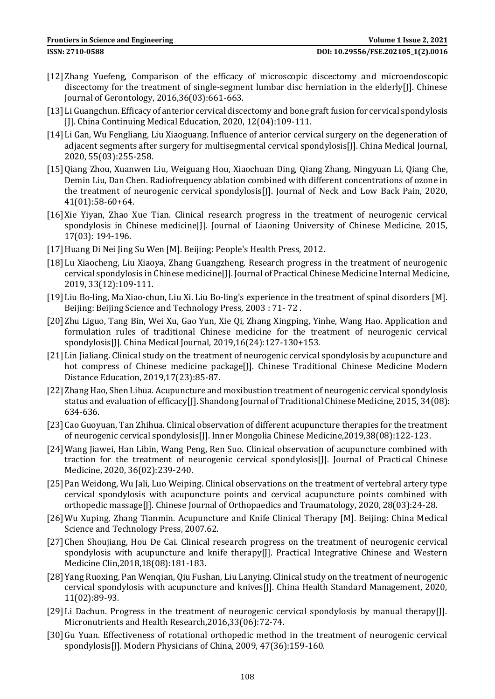- [12]Zhang Yuefeng, Comparison of the efficacy of microscopic discectomy and microendoscopic discectomy for the treatment of single-segment lumbar disc herniation in the elderly[J]. Chinese Journal of Gerontology, 2016,36(03):661-663.
- [13]Li Guangchun. Efficacy of anterior cervical discectomy and bone graft fusion for cervical spondylosis [J]. China Continuing Medical Education, 2020, 12(04):109-111.
- [14]Li Gan, Wu Fengliang, Liu Xiaoguang. Influence of anterior cervical surgery on the degeneration of adjacent segments after surgery for multisegmental cervical spondylosis[J]. China Medical Journal, 2020, 55(03):255-258.
- [15]Qiang Zhou, Xuanwen Liu, Weiguang Hou, Xiaochuan Ding, Qiang Zhang, Ningyuan Li, Qiang Che, Demin Liu, Dan Chen. Radiofrequency ablation combined with different concentrations of ozone in the treatment of neurogenic cervical spondylosis[J]. Journal of Neck and Low Back Pain, 2020, 41(01):58-60+64.
- [16]Xie Yiyan, Zhao Xue Tian. Clinical research progress in the treatment of neurogenic cervical spondylosis in Chinese medicine<sup>[]</sup>]. Journal of Liaoning University of Chinese Medicine, 2015, 17(03): 194-196.
- [17]Huang Di Nei Jing Su Wen [M]. Beijing: People's Health Press, 2012.
- [18]Lu Xiaocheng, Liu Xiaoya, Zhang Guangzheng. Research progress in the treatment of neurogenic cervical spondylosis in Chinese medicine[J]. Journal of Practical Chinese Medicine Internal Medicine, 2019, 33(12):109-111.
- [19]Liu Bo-ling, Ma Xiao-chun, Liu Xi. Liu Bo-ling's experience in the treatment of spinal disorders [M]. Beijing: Beijing Science and Technology Press, 2003 : 71- 72 .
- [20]Zhu Liguo, Tang Bin, Wei Xu, Gao Yun, Xie Qi, Zhang Xingping, Yinhe, Wang Hao. Application and formulation rules of traditional Chinese medicine for the treatment of neurogenic cervical spondylosis[J]. China Medical Journal, 2019,16(24):127-130+153.
- [21] Lin Jialiang. Clinical study on the treatment of neurogenic cervical spondylosis by acupuncture and hot compress of Chinese medicine package[J]. Chinese Traditional Chinese Medicine Modern Distance Education, 2019,17(23):85-87.
- [22]Zhang Hao, Shen Lihua. Acupuncture and moxibustion treatment of neurogenic cervical spondylosis status and evaluation of efficacy<sup>[</sup>]]. Shandong Journal of Traditional Chinese Medicine, 2015, 34(08): 634-636.
- [23]Cao Guoyuan, Tan Zhihua. Clinical observation of different acupuncture therapies for the treatment of neurogenic cervical spondylosis[J]. Inner Mongolia Chinese Medicine,2019,38(08):122-123.
- [24]Wang Jiawei, Han Libin, Wang Peng, Ren Suo. Clinical observation of acupuncture combined with traction for the treatment of neurogenic cervical spondylosis[J]. Journal of Practical Chinese Medicine, 2020, 36(02):239-240.
- [25] Pan Weidong, Wu Jali, Luo Weiping. Clinical observations on the treatment of vertebral artery type cervical spondylosis with acupuncture points and cervical acupuncture points combined with orthopedic massage[J]. Chinese Journal of Orthopaedics and Traumatology, 2020, 28(03):24-28.
- [26]Wu Xuping, Zhang Tianmin. Acupuncture and Knife Clinical Therapy [M]. Beijing: China Medical Science and Technology Press, 2007.62.
- [27]Chen Shoujiang, Hou De Cai. Clinical research progress on the treatment of neurogenic cervical spondylosis with acupuncture and knife therapy[J]. Practical Integrative Chinese and Western Medicine Clin,2018,18(08):181-183.
- [28]Yang Ruoxing, Pan Wenqian, Qiu Fushan, Liu Lanying. Clinical study on the treatment of neurogenic cervical spondylosis with acupuncture and knives[J]. China Health Standard Management, 2020, 11(02):89-93.
- [29]Li Dachun. Progress in the treatment of neurogenic cervical spondylosis by manual therapy[J]. Micronutrients and Health Research,2016,33(06):72-74.
- [30] Gu Yuan. Effectiveness of rotational orthopedic method in the treatment of neurogenic cervical spondylosis[J]. Modern Physicians of China, 2009, 47(36):159-160.